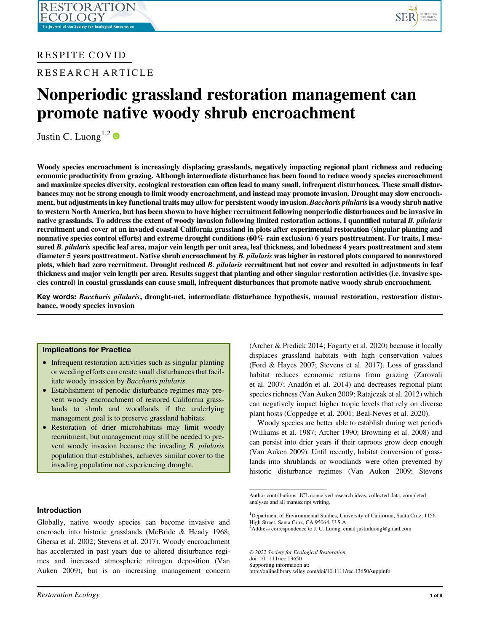# RESPITE COVID

RESEARCH ARTICLE

# Nonperiodic grassland restoration management can promote native woody shrub encroachment

Justin C. Luong<sup>1,2</sup>

Woody species encroachment is increasingly displacing grasslands, negatively impacting regional plant richness and reducing economic productivity from grazing. Although intermediate disturbance has been found to reduce woody species encroachment and maximize species diversity, ecological restoration can often lead to many small, infrequent disturbances. These small disturbances may not be strong enough to limit woody encroachment, and instead may promote invasion. Drought may slow encroachment, but adjustments in key functional traits may allow for persistent woody invasion. Baccharis pilularis is a woody shrub native to western North America, but has been shown to have higher recruitment following nonperiodic disturbances and be invasive in native grasslands. To address the extent of woody invasion following limited restoration actions, I quantified natural B. pilularis recruitment and cover at an invaded coastal California grassland in plots after experimental restoration (singular planting and nonnative species control efforts) and extreme drought conditions (60% rain exclusion) 6 years posttreatment. For traits, I measured B. pilularis specific leaf area, major vein length per unit area, leaf thickness, and lobedness 4 years posttreatment and stem diameter 5 years posttreatment. Native shrub encroachment by B. pilularis was higher in restored plots compared to nonrestored plots, which had zero recruitment. Drought reduced B. pilularis recruitment but not cover and resulted in adjustments in leaf thickness and major vein length per area. Results suggest that planting and other singular restoration activities (i.e. invasive species control) in coastal grasslands can cause small, infrequent disturbances that promote native woody shrub encroachment.

Key words: Baccharis pilularis, drought-net, intermediate disturbance hypothesis, manual restoration, restoration disturbance, woody species invasion

# Implications for Practice

- Infrequent restoration activities such as singular planting or weeding efforts can create small disturbances that facilitate woody invasion by Baccharis pilularis.
- Establishment of periodic disturbance regimes may prevent woody encroachment of restored California grasslands to shrub and woodlands if the underlying management goal is to preserve grassland habitats.
- Restoration of drier microhabitats may limit woody recruitment, but management may still be needed to prevent woody invasion because the invading B. pilularis population that establishes, achieves similar cover to the invading population not experiencing drought.

# Introduction

Globally, native woody species can become invasive and encroach into historic grasslands (McBride & Heady 1968; Ghersa et al. 2002; Stevens et al. 2017). Woody encroachment has accelerated in past years due to altered disturbance regimes and increased atmospheric nitrogen deposition (Van Auken 2009), but is an increasing management concern (Archer & Predick 2014; Fogarty et al. 2020) because it locally displaces grassland habitats with high conservation values (Ford & Hayes 2007; Stevens et al. 2017). Loss of grassland habitat reduces economic returns from grazing (Zarovali et al. 2007; Anadon et al. 2014) and decreases regional plant species richness (Van Auken 2009; Ratajczak et al. 2012) which can negatively impact higher tropic levels that rely on diverse plant hosts (Coppedge et al. 2001; Beal-Neves et al. 2020).

Woody species are better able to establish during wet periods (Williams et al. 1987; Archer 1990; Browning et al. 2008) and can persist into drier years if their taproots grow deep enough (Van Auken 2009). Until recently, habitat conversion of grasslands into shrublands or woodlands were often prevented by historic disturbance regimes (Van Auken 2009; Stevens

© 2022 Society for Ecological Restoration.

doi: 10.1111/rec.13650

Supporting information at: http://onlinelibrary.wiley.com/doi/10.1111/rec.13650/suppinfo

Author contributions: JCL conceived research ideas, collected data, completed analyses and all manuscript writing.

<sup>&</sup>lt;sup>1</sup>Department of Environmental Studies, University of California, Santa Cruz, 1156 High Street, Santa Cruz, CA 95064, U.S.A.

<sup>&</sup>lt;sup>2</sup>Address correspondence to J. C. Luong, email [justinluong@gmail.com](mailto:justinluong@gmail.com)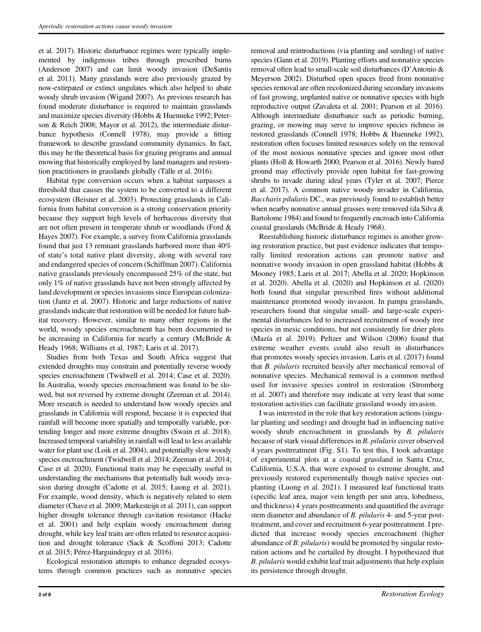et al. 2017). Historic disturbance regimes were typically implemented by indigenous tribes through prescribed burns (Anderson 2007) and can limit woody invasion (DeSantis et al. 2011). Many grasslands were also previously grazed by now-extirpated or extinct ungulates which also helped to abate woody shrub invasion (Wigand 2007). As previous research has found moderate disturbance is required to maintain grasslands and maximize species diversity (Hobbs & Huenneke 1992; Peterson & Reich 2008; Mayor et al. 2012), the intermediate disturbance hypothesis (Connell 1978), may provide a fitting framework to describe grassland community dynamics. In fact, this may be the theoretical basis for grazing programs and annual mowing that historically employed by land managers and restoration practitioners in grasslands globally (Tälle et al. 2016).

Habitat type conversion occurs when a habitat surpasses a threshold that causes the system to be converted to a different ecosystem (Beisner et al. 2003). Protecting grasslands in California from habitat conversion is a strong conservation priority because they support high levels of herbaceous diversity that are not often present in temperate shrub or woodlands (Ford & Hayes 2007). For example, a survey from California grasslands found that just 13 remnant grasslands harbored more than 40% of state's total native plant diversity, along with several rare and endangered species of concern (Schiffman 2007). California native grasslands previously encompassed 25% of the state, but only 1% of native grasslands have not been strongly affected by land development or species invasions since European colonization (Jantz et al. 2007). Historic and large reductions of native grasslands indicate that restoration will be needed for future habitat recovery. However, similar to many other regions in the world, woody species encroachment has been documented to be increasing in California for nearly a century (McBride & Heady 1968; Williams et al. 1987; Laris et al. 2017).

Studies from both Texas and South Africa suggest that extended droughts may constrain and potentially reverse woody species encroachment (Twidwell et al. 2014; Case et al. 2020). In Australia, woody species encroachment was found to be slowed, but not reversed by extreme drought (Zeeman et al. 2014). More research is needed to understand how woody species and grasslands in California will respond, because it is expected that rainfall will become more spatially and temporally variable, portending longer and more extreme droughts (Swain et al. 2018). Increased temporal variability in rainfall will lead to less available water for plant use (Loik et al. 2004), and potentially slow woody species encroachment (Twidwell et al. 2014; Zeeman et al. 2014; Case et al. 2020). Functional traits may be especially useful in understanding the mechanisms that potentially halt woody invasion during drought (Cadotte et al. 2015; Luong et al. 2021). For example, wood density, which is negatively related to stem diameter (Chave et al. 2009; Markesteijn et al. 2011), can support higher drought tolerance through cavitation resistance (Hacke et al. 2001) and help explain woody encroachment during drought, while key leaf traits are often related to resource acquisition and drought tolerance (Sack & Scoffoni 2013; Cadotte et al. 2015; Pérez-Harguindeguy et al. 2016).

Ecological restoration attempts to enhance degraded ecosystems through common practices such as nonnative species removal and reintroductions (via planting and seeding) of native species (Gann et al. 2019). Planting efforts and nonnative species removal often lead to small-scale soil disturbances (D'Antonio & Meyerson 2002). Disturbed open spaces freed from nonnative species removal are often recolonized during secondary invasions of fast growing, unplanted native or nonnative species with high reproductive output (Zavaleta et al. 2001; Pearson et al. 2016). Although intermediate disturbance such as periodic burning, grazing, or mowing may serve to improve species richness in restored grasslands (Connell 1978; Hobbs & Huenneke 1992), restoration often focuses limited resources solely on the removal of the most noxious nonnative species and ignore most other plants (Holl & Howarth 2000; Pearson et al. 2016). Newly bared ground may effectively provide open habitat for fast-growing shrubs to invade during ideal years (Tyler et al. 2007; Pierce et al. 2017). A common native woody invader in California, Baccharis pilularis DC., was previously found to establish better when nearby nonnative annual grasses were removed (da Silva & Bartolome 1984) and found to frequently encroach into California coastal grasslands (McBride & Heady 1968).

Reestablishing historic disturbance regimes is another growing restoration practice, but past evidence indicates that temporally limited restoration actions can promote native and nonnative woody invasion in open grassland habitat (Hobbs & Mooney 1985; Laris et al. 2017; Abella et al. 2020; Hopkinson et al. 2020). Abella et al. (2020) and Hopkinson et al. (2020) both found that singular prescribed fires without additional maintenance promoted woody invasion. In pampa grasslands, researchers found that singular small- and large-scale experimental disturbances led to increased recruitment of woody tree species in mesic conditions, but not consistently for drier plots (Mazía et al. 2019). Peltzer and Wilson (2006) found that extreme weather events could also result in disturbances that promotes woody species invasion. Laris et al. (2017) found that B. pilularis recruited heavily after mechanical removal of nonnative species. Mechanical removal is a common method used for invasive species control in restoration (Stromberg et al. 2007) and therefore may indicate at very least that some restoration activities can facilitate grassland woody invasion.

I was interested in the role that key restoration actions (singular planting and seeding) and drought had in influencing native woody shrub encroachment in grasslands by B. pilularis because of stark visual differences in B. pilularis cover observed 4 years posttreatment (Fig. S1). To test this, I took advantage of experimental plots at a coastal grassland in Santa Cruz, California, U.S.A. that were exposed to extreme drought, and previously restored experimentally though native species outplanting (Luong et al. 2021). I measured leaf functional traits (specific leaf area, major vein length per unit area, lobedness, and thickness) 4 years posttreatments and quantified the average stem diameter and abundance of B. pilularis 4- and 5-year posttreatment, and cover and recruitment 6-year posttreatment. I predicted that increase woody species encroachment (higher abundance of B. pilularis) would be promoted by singular restoration actions and be curtailed by drought. I hypothesized that B. pilularis would exhibit leaf trait adjustments that help explain its persistence through drought.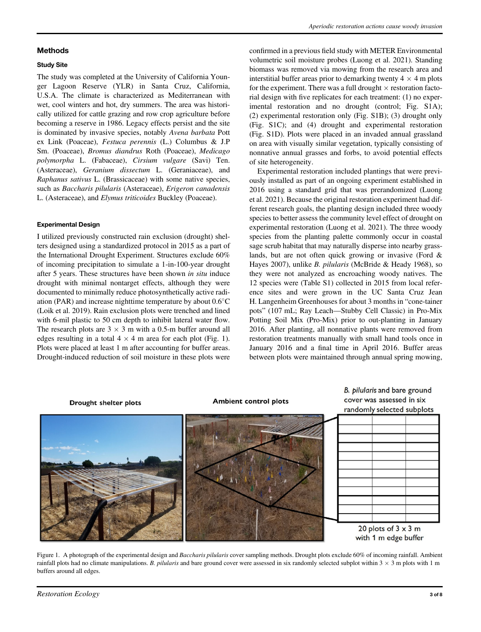#### Methods

#### Study Site

The study was completed at the University of California Younger Lagoon Reserve (YLR) in Santa Cruz, California, U.S.A. The climate is characterized as Mediterranean with wet, cool winters and hot, dry summers. The area was historically utilized for cattle grazing and row crop agriculture before becoming a reserve in 1986. Legacy effects persist and the site is dominated by invasive species, notably Avena barbata Pott ex Link (Poaceae), Festuca perennis (L.) Columbus & J.P Sm. (Poaceae), Bromus diandrus Roth (Poaceae), Medicago polymorpha L. (Fabaceae), Cirsium vulgare (Savi) Ten. (Asteraceae), Geranium dissectum L. (Geraniaceae), and Raphanus sativus L. (Brassicaceae) with some native species, such as Baccharis pilularis (Asteraceae), Erigeron canadensis L. (Asteraceae), and Elymus triticoides Buckley (Poaceae).

#### Experimental Design

I utilized previously constructed rain exclusion (drought) shelters designed using a standardized protocol in 2015 as a part of the International Drought Experiment. Structures exclude 60% of incoming precipitation to simulate a 1-in-100-year drought after 5 years. These structures have been shown in situ induce drought with minimal nontarget effects, although they were documented to minimally reduce photosynthetically active radiation (PAR) and increase nighttime temperature by about  $0.6^{\circ}$ C (Loik et al. 2019). Rain exclusion plots were trenched and lined with 6-mil plastic to 50 cm depth to inhibit lateral water flow. The research plots are  $3 \times 3$  m with a 0.5-m buffer around all edges resulting in a total  $4 \times 4$  m area for each plot (Fig. 1). Plots were placed at least 1 m after accounting for buffer areas. Drought-induced reduction of soil moisture in these plots were confirmed in a previous field study with METER Environmental volumetric soil moisture probes (Luong et al. 2021). Standing biomass was removed via mowing from the research area and interstitial buffer areas prior to demarking twenty  $4 \times 4$  m plots for the experiment. There was a full drought  $\times$  restoration factorial design with five replicates for each treatment: (1) no experimental restoration and no drought (control; Fig. S1A); (2) experimental restoration only (Fig. S1B); (3) drought only (Fig. S1C); and (4) drought and experimental restoration (Fig. S1D). Plots were placed in an invaded annual grassland on area with visually similar vegetation, typically consisting of nonnative annual grasses and forbs, to avoid potential effects of site heterogeneity.

Experimental restoration included plantings that were previously installed as part of an ongoing experiment established in 2016 using a standard grid that was prerandomized (Luong et al. 2021). Because the original restoration experiment had different research goals, the planting design included three woody species to better assess the community level effect of drought on experimental restoration (Luong et al. 2021). The three woody species from the planting palette commonly occur in coastal sage scrub habitat that may naturally disperse into nearby grasslands, but are not often quick growing or invasive (Ford & Hayes 2007), unlike B. pilularis (McBride & Heady 1968), so they were not analyzed as encroaching woody natives. The 12 species were (Table S1) collected in 2015 from local reference sites and were grown in the UC Santa Cruz Jean H. Langenheim Greenhouses for about 3 months in "cone-tainer pots" (107 mL; Ray Leach—Stubby Cell Classic) in Pro-Mix Potting Soil Mix (Pro-Mix) prior to out-planting in January 2016. After planting, all nonnative plants were removed from restoration treatments manually with small hand tools once in January 2016 and a final time in April 2016. Buffer areas between plots were maintained through annual spring mowing,



Figure 1. A photograph of the experimental design and Baccharis pilularis cover sampling methods. Drought plots exclude 60% of incoming rainfall. Ambient rainfall plots had no climate manipulations. B. pilularis and bare ground cover were assessed in six randomly selected subplot within  $3 \times 3$  m plots with 1 m buffers around all edges.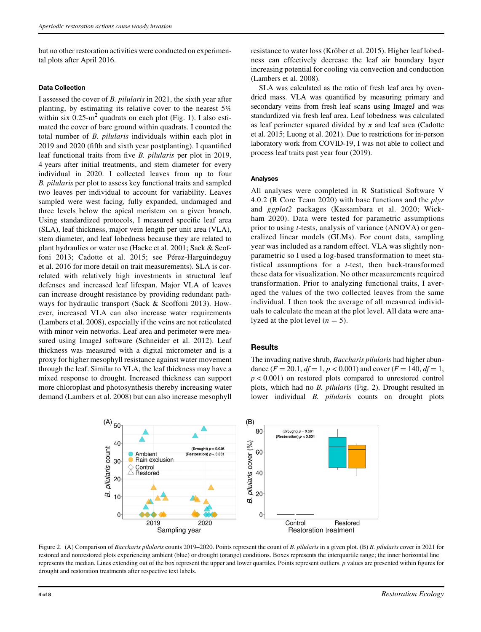but no other restoration activities were conducted on experimental plots after April 2016.

#### Data Collection

I assessed the cover of B. pilularis in 2021, the sixth year after planting, by estimating its relative cover to the nearest 5% within six  $0.25 \text{ m}^2$  quadrats on each plot (Fig. 1). I also estimated the cover of bare ground within quadrats. I counted the total number of B. pilularis individuals within each plot in 2019 and 2020 (fifth and sixth year postplanting). I quantified leaf functional traits from five B. pilularis per plot in 2019, 4 years after initial treatments, and stem diameter for every individual in 2020. I collected leaves from up to four B. pilularis per plot to assess key functional traits and sampled two leaves per individual to account for variability. Leaves sampled were west facing, fully expanded, undamaged and three levels below the apical meristem on a given branch. Using standardized protocols, I measured specific leaf area (SLA), leaf thickness, major vein length per unit area (VLA), stem diameter, and leaf lobedness because they are related to plant hydraulics or water use (Hacke et al. 2001; Sack & Scoffoni 2013; Cadotte et al. 2015; see Pérez-Harguindeguy et al. 2016 for more detail on trait measurements). SLA is correlated with relatively high investments in structural leaf defenses and increased leaf lifespan. Major VLA of leaves can increase drought resistance by providing redundant pathways for hydraulic transport (Sack & Scoffoni 2013). However, increased VLA can also increase water requirements (Lambers et al. 2008), especially if the veins are not reticulated with minor vein networks. Leaf area and perimeter were measured using ImageJ software (Schneider et al. 2012). Leaf thickness was measured with a digital micrometer and is a proxy for higher mesophyll resistance against water movement through the leaf. Similar to VLA, the leaf thickness may have a mixed response to drought. Increased thickness can support more chloroplast and photosynthesis thereby increasing water demand (Lambers et al. 2008) but can also increase mesophyll resistance to water loss (Kröber et al. 2015). Higher leaf lobedness can effectively decrease the leaf air boundary layer increasing potential for cooling via convection and conduction (Lambers et al. 2008).

SLA was calculated as the ratio of fresh leaf area by ovendried mass. VLA was quantified by measuring primary and secondary veins from fresh leaf scans using ImageJ and was standardized via fresh leaf area. Leaf lobedness was calculated as leaf perimeter squared divided by  $\pi$  and leaf area (Cadotte et al. 2015; Luong et al. 2021). Due to restrictions for in-person laboratory work from COVID-19, I was not able to collect and process leaf traits past year four (2019).

#### Analyses

All analyses were completed in R Statistical Software V 4.0.2 (R Core Team 2020) with base functions and the  $p/vr$ and ggplot2 packages (Kassambara et al. 2020; Wickham 2020). Data were tested for parametric assumptions prior to using t-tests, analysis of variance (ANOVA) or generalized linear models (GLMs). For count data, sampling year was included as a random effect. VLA was slightly nonparametric so I used a log-based transformation to meet statistical assumptions for a t-test, then back-transformed these data for visualization. No other measurements required transformation. Prior to analyzing functional traits, I averaged the values of the two collected leaves from the same individual. I then took the average of all measured individuals to calculate the mean at the plot level. All data were analyzed at the plot level  $(n = 5)$ .

#### **Results**

The invading native shrub, *Baccharis pilularis* had higher abundance  $(F = 20.1, df = 1, p < 0.001)$  and cover  $(F = 140, df = 1,$  $p < 0.001$ ) on restored plots compared to unrestored control plots, which had no B. pilularis (Fig. 2). Drought resulted in lower individual B. pilularis counts on drought plots



Figure 2. (A) Comparison of Baccharis pilularis counts 2019–2020. Points represent the count of B. pilularis in a given plot. (B) B. pilularis cover in 2021 for restored and nonrestored plots experiencing ambient (blue) or drought (orange) conditions. Boxes represents the interquartile range; the inner horizontal line represents the median. Lines extending out of the box represent the upper and lower quartiles. Points represent outliers.  $p$  values are presented within figures for drought and restoration treatments after respective text labels.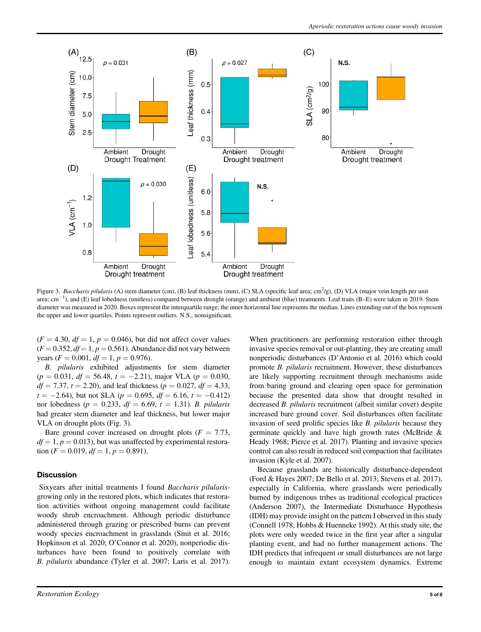

Figure 3. Baccharis pilularis (A) stem diameter (cm), (B) leaf thickness (mm), (C) SLA (specific leaf area; cm<sup>2</sup>/g), (D) VLA (major vein length per unit area;  $cm^{-1}$ ), and (E) leaf lobedness (unitless) compared between drought (orange) and ambient (blue) treatments. Leaf traits (B–E) were taken in 2019. Stem diameter was measured in 2020. Boxes represent the interquartile range; the inner horizontal line represents the median. Lines extending out of the box represent the upper and lower quartiles. Points represent outliers. N.S., nonsignificant.

 $(F = 4.30, df = 1, p = 0.046)$ , but did not affect cover values  $(F = 0.352, df = 1, p = 0.561)$ . Abundance did not vary between years ( $F = 0.001$ ,  $df = 1$ ,  $p = 0.976$ ).

B. pilularis exhibited adjustments for stem diameter  $(p = 0.031, df = 56.48, t = -2.21)$ , major VLA  $(p = 0.030,$  $df = 7.37$ ,  $t = 2.20$ ), and leaf thickness ( $p = 0.027$ ,  $df = 4.33$ ,  $t = -2.64$ , but not SLA ( $p = 0.695$ ,  $df = 6.16$ ,  $t = -0.412$ ) nor lobedness ( $p = 0.233$ ,  $df = 6.69$ ,  $t = 1.31$ ). B. pilularis had greater stem diameter and leaf thickness, but lower major VLA on drought plots (Fig. 3).

Bare ground cover increased on drought plots ( $F = 7.73$ ,  $df = 1, p = 0.013$ , but was unaffected by experimental restoration ( $F = 0.019$ ,  $df = 1$ ,  $p = 0.891$ ).

#### **Discussion**

Sixyears after initial treatments I found Baccharis pilularisgrowing only in the restored plots, which indicates that restoration activities without ongoing management could facilitate woody shrub encroachment. Although periodic disturbance administered through grazing or prescribed burns can prevent woody species encroachment in grasslands (Smit et al. 2016; Hopkinson et al. 2020; O'Connor et al. 2020), nonperiodic disturbances have been found to positively correlate with B. pilularis abundance (Tyler et al. 2007; Laris et al. 2017). When practitioners are performing restoration either through invasive species removal or out-planting, they are creating small nonperiodic disturbances (D'Antonio et al. 2016) which could promote B. pilularis recruitment. However, these disturbances are likely supporting recruitment through mechanisms aside from baring ground and clearing open space for germination because the presented data show that drought resulted in decreased B. pilularis recruitment (albeit similar cover) despite increased bare ground cover. Soil disturbances often facilitate invasion of seed prolific species like B. pilularis because they germinate quickly and have high growth rates (McBride & Heady 1968; Pierce et al. 2017). Planting and invasive species control can also result in reduced soil compaction that facilitates invasion (Kyle et al. 2007).

Because grasslands are historically disturbance-dependent (Ford & Hayes 2007; De Bello et al. 2013; Stevens et al. 2017), especially in California, where grasslands were periodically burned by indigenous tribes as traditional ecological practices (Anderson 2007), the Intermediate Disturbance Hypothesis (IDH) may provide insight on the pattern I observed in this study (Connell 1978; Hobbs & Huenneke 1992). At this study site, the plots were only weeded twice in the first year after a singular planting event, and had no further management actions. The IDH predicts that infrequent or small disturbances are not large enough to maintain extant ecosystem dynamics. Extreme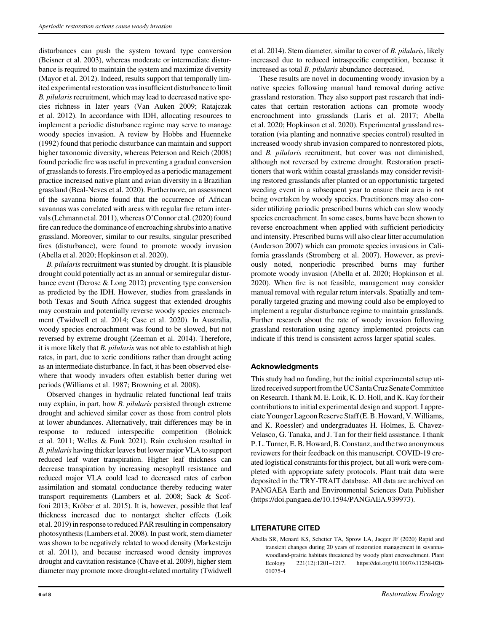disturbances can push the system toward type conversion (Beisner et al. 2003), whereas moderate or intermediate disturbance is required to maintain the system and maximize diversity (Mayor et al. 2012). Indeed, results support that temporally limited experimental restoration was insufficient disturbance to limit B. pilularis recruitment, which may lead to decreased native species richness in later years (Van Auken 2009; Ratajczak et al. 2012). In accordance with IDH, allocating resources to implement a periodic disturbance regime may serve to manage woody species invasion. A review by Hobbs and Huenneke (1992) found that periodic disturbance can maintain and support higher taxonomic diversity, whereas Peterson and Reich (2008) found periodic fire was useful in preventing a gradual conversion of grasslands to forests. Fire employed as a periodic management practice increased native plant and avian diversity in a Brazilian grassland (Beal-Neves et al. 2020). Furthermore, an assessment of the savanna biome found that the occurrence of African savannas was correlated with areas with regular fire return intervals (Lehmann et al. 2011), whereas O'Connor et al. (2020) found fire can reduce the dominance of encroaching shrubs into a native grassland. Moreover, similar to our results, singular prescribed fires (disturbance), were found to promote woody invasion (Abella et al. 2020; Hopkinson et al. 2020).

B. pilularis recruitment was stunted by drought. It is plausible drought could potentially act as an annual or semiregular disturbance event (Derose & Long 2012) preventing type conversion as predicted by the IDH. However, studies from grasslands in both Texas and South Africa suggest that extended droughts may constrain and potentially reverse woody species encroachment (Twidwell et al. 2014; Case et al. 2020). In Australia, woody species encroachment was found to be slowed, but not reversed by extreme drought (Zeeman et al. 2014). Therefore, it is more likely that B. pilularis was not able to establish at high rates, in part, due to xeric conditions rather than drought acting as an intermediate disturbance. In fact, it has been observed elsewhere that woody invaders often establish better during wet periods (Williams et al. 1987; Browning et al. 2008).

Observed changes in hydraulic related functional leaf traits may explain, in part, how B. pilularis persisted through extreme drought and achieved similar cover as those from control plots at lower abundances. Alternatively, trait differences may be in response to reduced interspecific competition (Bolnick et al. 2011; Welles & Funk 2021). Rain exclusion resulted in B. pilularis having thicker leaves but lower major VLA to support reduced leaf water transpiration. Higher leaf thickness can decrease transpiration by increasing mesophyll resistance and reduced major VLA could lead to decreased rates of carbon assimilation and stomatal conductance thereby reducing water transport requirements (Lambers et al. 2008; Sack & Scoffoni 2013; Kröber et al. 2015). It is, however, possible that leaf thickness increased due to nontarget shelter effects (Loik et al. 2019) in response to reduced PAR resulting in compensatory photosynthesis (Lambers et al. 2008). In past work, stem diameter was shown to be negatively related to wood density (Markesteijn et al. 2011), and because increased wood density improves drought and cavitation resistance (Chave et al. 2009), higher stem diameter may promote more drought-related mortality (Twidwell et al. 2014). Stem diameter, similar to cover of B. pilularis, likely increased due to reduced intraspecific competition, because it increased as total B. pilularis abundance decreased.

These results are novel in documenting woody invasion by a native species following manual hand removal during active grassland restoration. They also support past research that indicates that certain restoration actions can promote woody encroachment into grasslands (Laris et al. 2017; Abella et al. 2020; Hopkinson et al. 2020). Experimental grassland restoration (via planting and nonnative species control) resulted in increased woody shrub invasion compared to nonrestored plots, and B. pilularis recruitment, but cover was not diminished, although not reversed by extreme drought. Restoration practitioners that work within coastal grasslands may consider revisiting restored grasslands after planted or an opportunistic targeted weeding event in a subsequent year to ensure their area is not being overtaken by woody species. Practitioners may also consider utilizing periodic prescribed burns which can slow woody species encroachment. In some cases, burns have been shown to reverse encroachment when applied with sufficient periodicity and intensity. Prescribed burns will also clear litter accumulation (Anderson 2007) which can promote species invasions in California grasslands (Stromberg et al. 2007). However, as previously noted, nonperiodic prescribed burns may further promote woody invasion (Abella et al. 2020; Hopkinson et al. 2020). When fire is not feasible, management may consider manual removal with regular return intervals. Spatially and temporally targeted grazing and mowing could also be employed to implement a regular disturbance regime to maintain grasslands. Further research about the rate of woody invasion following grassland restoration using agency implemented projects can indicate if this trend is consistent across larger spatial scales.

# Acknowledgments

This study had no funding, but the initial experimental setup utilized received support from the UC Santa Cruz Senate Committee on Research. I thank M. E. Loik, K. D. Holl, and K. Kay for their contributions to initial experimental design and support. I appreciate Younger Lagoon Reserve Staff (E. B. Howard, V.Williams, and K. Roessler) and undergraduates H. Holmes, E. Chavez-Velasco, G. Tanaka, and J. Tan for their field assistance. I thank P. L. Turner, E. B. Howard, B. Constanz, and the two anonymous reviewers for their feedback on this manuscript. COVID-19 created logistical constraints for this project, but all work were completed with appropriate safety protocols. Plant trait data were deposited in the TRY-TRAIT database. All data are archived on PANGAEA Earth and Environmental Sciences Data Publisher (https://doi.pangaea.de/10.1594/PANGAEA.939973).

#### LITERATURE CITED

Abella SR, Menard KS, Schetter TA, Sprow LA, Jaeger JF (2020) Rapid and transient changes during 20 years of restoration management in savannawoodland-prairie habitats threatened by woody plant encroachment. Plant Ecology 221(12):1201–1217. [https://doi.org/10.1007/s11258-020-](https://doi.org/10.1007/s11258-020-01075-4) [01075-4](https://doi.org/10.1007/s11258-020-01075-4)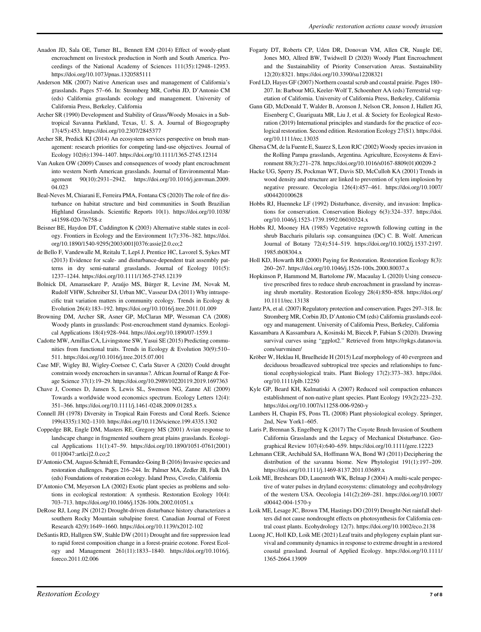- Anadon JD, Sala OE, Turner BL, Bennett EM (2014) Effect of woody-plant encroachment on livestock production in North and South America. Proceedings of the National Academy of Sciences 111(35):12948–12953. <https://doi.org/10.1073/pnas.1320585111>
- Anderson MK (2007) Native American uses and management of California's grasslands. Pages 57–66. In: Stromberg MR, Corbin JD, D'Antonio CM (eds) California grasslands ecology and management. University of California Press, Berkeley, California
- Archer SR (1990) Development and Stability of Grass/Woody Mosaics in a Subtropical Savanna Parkland, Texas, U. S. A. Journal of Biogeography 17(4/5):453.<https://doi.org/10.2307/2845377>
- Archer SR, Predick KI (2014) An ecosystem services perspective on brush management: research priorities for competing land-use objectives. Journal of Ecology 102(6):1394–1407.<https://doi.org/10.1111/1365-2745.12314>
- Van Auken OW (2009) Causes and consequences of woody plant encroachment into western North American grasslands. Journal of Environmental Management 90(10):2931–2942. [https://doi.org/10.1016/j.jenvman.2009.](https://doi.org/10.1016/j.jenvman.2009.04.023) [04.023](https://doi.org/10.1016/j.jenvman.2009.04.023)
- Beal-Neves M, Chiarani E, Ferreira PMA, Fontana CS (2020) The role of fire disturbance on habitat structure and bird communities in South Brazilian Highland Grasslands. Scientific Reports 10(1). [https://doi.org/10.1038/](https://doi.org/10.1038/s41598-020-76758-z) [s41598-020-76758-z](https://doi.org/10.1038/s41598-020-76758-z)
- Beisner BE, Haydon DT, Cuddington K (2003) Alternative stable states in ecology. Frontiers in Ecology and the Environment 1(7):376–382. [https://doi.](https://doi.org/10.1890/1540-9295(2003)001%5b0376%3aassie%5d2.0.co%3b2) [org/10.1890/1540-9295\(2003\)001\[0376:assie\]2.0.co;2](https://doi.org/10.1890/1540-9295(2003)001%5b0376%3aassie%5d2.0.co%3b2)
- de Bello F, Vandewalle M, Reitalu T, Lepš J, Prentice HC, Lavorel S, Sykes MT (2013) Evidence for scale- and disturbance-dependent trait assembly patterns in dry semi-natural grasslands. Journal of Ecology 101(5): 1237–1244.<https://doi.org/10.1111/1365-2745.12139>
- Bolnick DI, Amarasekare P, Araújo MS, Bürger R, Levine JM, Novak M, Rudolf VHW, Schreiber SJ, Urban MC, Vasseur DA (2011) Why intraspecific trait variation matters in community ecology. Trends in Ecology & Evolution 26(4):183–192.<https://doi.org/10.1016/j.tree.2011.01.009>
- Browning DM, Archer SR, Asner GP, McClaran MP, Wessman CA (2008) Woody plants in grasslands: Post-encroachment stand dynamics. Ecological Applications 18(4):928–944.<https://doi.org/10.1890/07-1559.1>
- Cadotte MW, Arnillas CA, Livingstone SW, Yasui SE (2015) Predicting communities from functional traits. Trends in Ecology & Evolution 30(9):510– 511.<https://doi.org/10.1016/j.tree.2015.07.001>
- Case MF, Wigley BJ, Wigley-Coetsee C, Carla Staver A (2020) Could drought constrain woody encroachers in savannas?. African Journal of Range & Forage Science 37(1):19–29.<https://doi.org/10.2989/10220119.2019.1697363>
- Chave J, Coomes D, Jansen S, Lewis SL, Swenson NG, Zanne AE (2009) Towards a worldwide wood economics spectrum. Ecology Letters 12(4): 351–366.<https://doi.org/10.1111/j.1461-0248.2009.01285.x>
- Connell JH (1978) Diversity in Tropical Rain Forests and Coral Reefs. Science 199(4335):1302–1310.<https://doi.org/10.1126/science.199.4335.1302>
- Coppedge BR, Engle DM, Masters RE, Gregory MS (2001) Avian response to landscape change in fragmented southern great plains grasslands. Ecological Applications 11(1):47–59. [https://doi.org/10.1890/1051-0761\(2001\)](https://doi.org/10.1890/1051-0761(2001)011%5b0047%3aartlci%5d2.0.co%3b2) [011\[0047:artlci\]2.0.co;2](https://doi.org/10.1890/1051-0761(2001)011%5b0047%3aartlci%5d2.0.co%3b2)
- D'Antonio CM, August-Schmidt E, Fernandez-Going B (2016) Invasive species and restoration challenges. Pages 216–244. In: Palmer MA, Zedler JB, Falk DA (eds) Foundations of restoration ecology. Island Press, Covelo, California
- D'Antonio CM, Meyerson LA (2002) Exotic plant species as problems and solutions in ecological restoration: A synthesis. Restoration Ecology 10(4): 703–713.<https://doi.org/10.1046/j.1526-100x.2002.01051.x>
- DeRose RJ, Long JN (2012) Drought-driven disturbance history characterizes a southern Rocky Mountain subalpine forest. Canadian Journal of Forest Research 42(9):1649–1660.<https://doi.org/10.1139/x2012-102>
- DeSantis RD, Hallgren SW, Stahle DW (2011) Drought and fire suppression lead to rapid forest composition change in a forest-prairie ecotone. Forest Ecology and Management 261(11):1833–1840. [https://doi.org/10.1016/j.](https://doi.org/10.1016/j.foreco.2011.02.006) [foreco.2011.02.006](https://doi.org/10.1016/j.foreco.2011.02.006)
- Fogarty DT, Roberts CP, Uden DR, Donovan VM, Allen CR, Naugle DE, Jones MO, Allred BW, Twidwell D (2020) Woody Plant Encroachment and the Sustainability of Priority Conservation Areas. Sustainability 12(20):8321.<https://doi.org/10.3390/su12208321>
- Ford LD, Hayes GF (2007) Northern coastal scrub and coastal prairie. Pages 180– 207. In: Barbour MG, Keeler-Wolf T, Schoenherr AA (eds) Terrestrial vegetation of California. University of California Press, Berkeley, California
- Gann GD, McDonald T, Walder B, Aronson J, Nelson CR, Jonson J, Hallett JG, Eisenberg C, Guariguata MR, Liu J, et al. & Society for Ecological Restoration (2019) International principles and standards for the practice of ecological restoration. Second edition. Restoration Ecology 27(S1). [https://doi.](https://doi.org/10.1111/rec.13035) [org/10.1111/rec.13035](https://doi.org/10.1111/rec.13035)
- Ghersa CM, de la Fuente E, Suarez S, Leon RJC (2002) Woody species invasion in the Rolling Pampa grasslands, Argentina. Agriculture, Ecosystems & Environment 88(3):271–278. [https://doi.org/10.1016/s0167-8809\(01\)00209-2](https://doi.org/10.1016/s0167-8809(01)00209-2)
- Hacke UG, Sperry JS, Pockman WT, Davis SD, McCulloh KA (2001) Trends in wood density and structure are linked to prevention of xylem implosion by negative pressure. Oecologia 126(4):457–461. [https://doi.org/10.1007/](https://doi.org/10.1007/s004420100628) [s004420100628](https://doi.org/10.1007/s004420100628)
- Hobbs RJ, Huenneke LF (1992) Disturbance, diversity, and invasion: Implications for conservation. Conservation Biology 6(3):324–337. [https://doi.](https://doi.org/10.1046/j.1523-1739.1992.06030324.x) [org/10.1046/j.1523-1739.1992.06030324.x](https://doi.org/10.1046/j.1523-1739.1992.06030324.x)
- Hobbs RJ, Mooney HA (1985) Vegetative regrowth following cutting in the shrub Baccharis pilularis ssp. consanguinea (DC) C. B. Wolf. American Journal of Botany 72(4):514–519. [https://doi.org/10.1002/j.1537-2197.](https://doi.org/10.1002/j.1537-2197.1985.tb08304.x) [1985.tb08304.x](https://doi.org/10.1002/j.1537-2197.1985.tb08304.x)
- Holl KD, Howarth RB (2000) Paying for Restoration. Restoration Ecology 8(3): 260–267.<https://doi.org/10.1046/j.1526-100x.2000.80037.x>
- Hopkinson P, Hammond M, Bartolome JW, Macaulay L (2020) Using consecutive prescribed fires to reduce shrub encroachment in grassland by increasing shrub mortality. Restoration Ecology 28(4):850–858. [https://doi.org/](https://doi.org/10.1111/rec.13138) [10.1111/rec.13138](https://doi.org/10.1111/rec.13138)
- Jantz PA, et al. (2007) Regulatory protection and conservation. Pages 297–318. In: Stromberg MR, Corbin JD, D'Antonio CM (eds) California grasslands ecology and management. University of California Press, Berkeley, California
- Kassambara A Kassambara A, Kosinski M, Biecek P, Fabian S (2020). Drawing survival curves using "ggplot2." Retrieved from [https://rpkgs.datanovia.](https://rpkgs.datanovia.com/survminer/) [com/survminer/](https://rpkgs.datanovia.com/survminer/)
- Kröber W, Heklau H, Bruelheide H (2015) Leaf morphology of 40 evergreen and deciduous broadleaved subtropical tree species and relationships to functional ecophysiological traits. Plant Biology 17(2):373–383. [https://doi.](https://doi.org/10.1111/plb.12250) [org/10.1111/plb.12250](https://doi.org/10.1111/plb.12250)
- Kyle GP, Beard KH, Kulmatiski A (2007) Reduced soil compaction enhances establishment of non-native plant species. Plant Ecology 193(2):223–232. <https://doi.org/10.1007/s11258-006-9260-y>
- Lambers H, Chapin FS, Pons TL (2008) Plant physiological ecology. Springer, 2nd, New York1–605.
- Laris P, Brennan S, Engelberg K (2017) The Coyote Brush Invasion of Southern California Grasslands and the Legacy of Mechanical Disturbance. Geographical Review 107(4):640–659.<https://doi.org/10.1111/gere.12223>
- Lehmann CER, Archibald SA, Hoffmann WA, Bond WJ (2011) Deciphering the distribution of the savanna biome. New Phytologist 191(1):197–209. <https://doi.org/10.1111/j.1469-8137.2011.03689.x>
- Loik ME, Breshears DD, Lauenroth WK, Belnap J (2004) A multi-scale perspective of water pulses in dryland ecosystems: climatology and ecohydrology of the western USA. Oecologia 141(2):269–281. [https://doi.org/10.1007/](https://doi.org/10.1007/s00442-004-1570-y) [s00442-004-1570-y](https://doi.org/10.1007/s00442-004-1570-y)
- Loik ME, Lesage JC, Brown TM, Hastings DO (2019) Drought-Net rainfall shelters did not cause nondrought effects on photosynthesis for California central coast plants. Ecohydrology 12(7).<https://doi.org/10.1002/eco.2138>
- Luong JC, Holl KD, Loik ME (2021) Leaf traits and phylogeny explain plant survival and community dynamics in response to extreme drought in a restored coastal grassland. Journal of Applied Ecology. [https://doi.org/10.1111/](https://doi.org/10.1111/1365-2664.13909) [1365-2664.13909](https://doi.org/10.1111/1365-2664.13909)